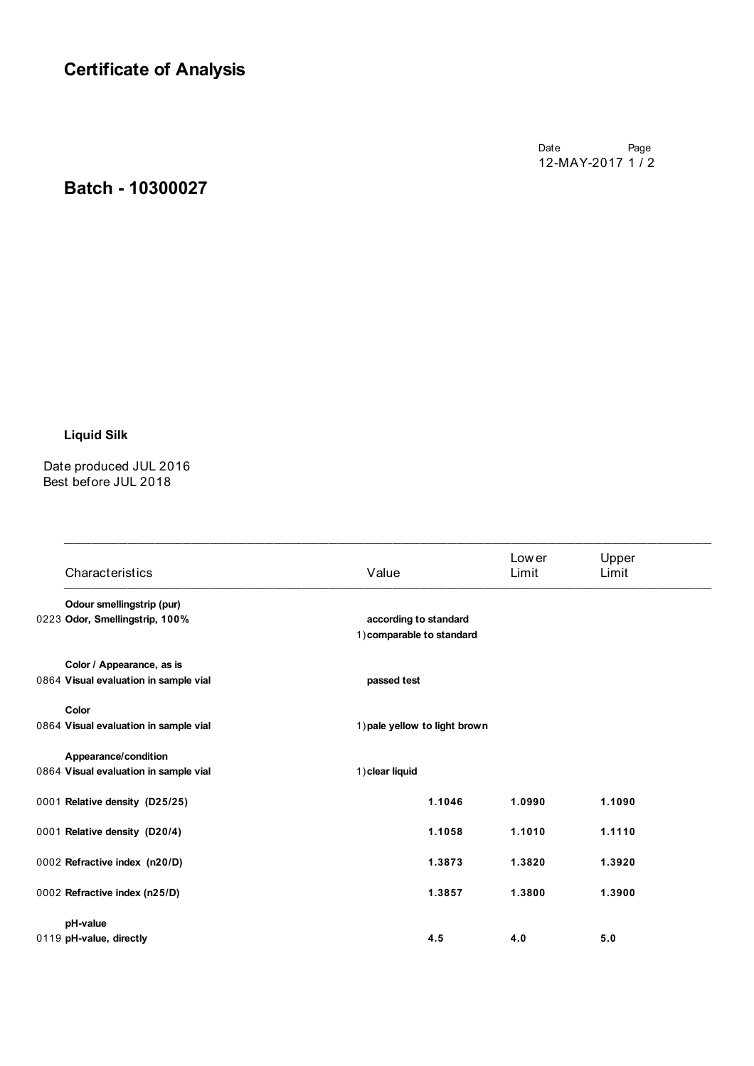## **Certificate of Analysis**

Date Page 12-MAY-2017 1 / 2

## **Batch - 10300027**

## **Liquid Silk**

 Date produced JUL 2016 Best before JUL 2018

| Characteristics                       | Value                                              | Low er<br>Limit               | Upper<br>Limit |  |  |  |  |
|---------------------------------------|----------------------------------------------------|-------------------------------|----------------|--|--|--|--|
| Odour smellingstrip (pur)             |                                                    |                               |                |  |  |  |  |
| 0223 Odor, Smellingstrip, 100%        | according to standard<br>1) comparable to standard |                               |                |  |  |  |  |
| Color / Appearance, as is             |                                                    |                               |                |  |  |  |  |
| 0864 Visual evaluation in sample vial | passed test                                        |                               |                |  |  |  |  |
| Color                                 |                                                    |                               |                |  |  |  |  |
| 0864 Visual evaluation in sample vial |                                                    | 1) pale yellow to light brown |                |  |  |  |  |
| Appearance/condition                  |                                                    |                               |                |  |  |  |  |
| 0864 Visual evaluation in sample vial | 1) clear liquid                                    |                               |                |  |  |  |  |
| 0001 Relative density (D25/25)        | 1.1046                                             | 1.0990                        | 1.1090         |  |  |  |  |
| 0001 Relative density (D20/4)         | 1.1058                                             | 1.1010                        | 1.1110         |  |  |  |  |
| 0002 Refractive index (n20/D)         | 1.3873                                             | 1.3820                        | 1.3920         |  |  |  |  |
| 0002 Refractive index (n25/D)         | 1.3857                                             | 1.3800                        | 1.3900         |  |  |  |  |
| pH-value                              |                                                    |                               |                |  |  |  |  |
| 0119 pH-value, directly               | 4.5                                                | 4.0                           | 5.0            |  |  |  |  |